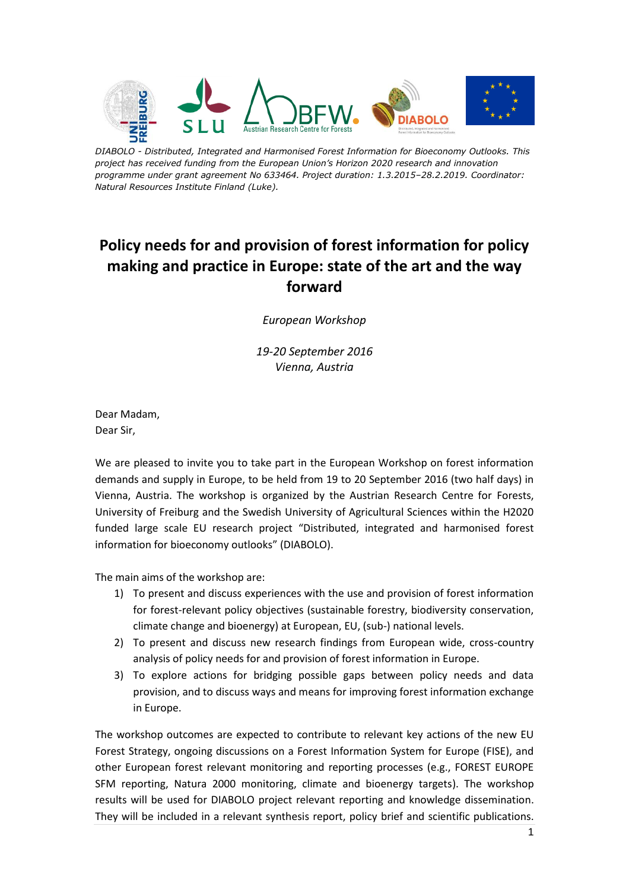

*DIABOLO - Distributed, Integrated and Harmonised Forest Information for Bioeconomy Outlooks. This project has received funding from the European Union's Horizon 2020 research and innovation programme under grant agreement No 633464. Project duration: 1.3.2015–28.2.2019. Coordinator: Natural Resources Institute Finland (Luke).*

## **Policy needs for and provision of forest information for policy making and practice in Europe: state of the art and the way forward**

*European Workshop* 

*19-20 September 2016 Vienna, Austria*

Dear Madam, Dear Sir,

We are pleased to invite you to take part in the European Workshop on forest information demands and supply in Europe, to be held from 19 to 20 September 2016 (two half days) in Vienna, Austria. The workshop is organized by the Austrian Research Centre for Forests, University of Freiburg and the Swedish University of Agricultural Sciences within the H2020 funded large scale EU research project "Distributed, integrated and harmonised forest information for bioeconomy outlooks" (DIABOLO).

The main aims of the workshop are:

- 1) To present and discuss experiences with the use and provision of forest information for forest-relevant policy objectives (sustainable forestry, biodiversity conservation, climate change and bioenergy) at European, EU, (sub-) national levels.
- 2) To present and discuss new research findings from European wide, cross-country analysis of policy needs for and provision of forest information in Europe.
- 3) To explore actions for bridging possible gaps between policy needs and data provision, and to discuss ways and means for improving forest information exchange in Europe.

The workshop outcomes are expected to contribute to relevant key actions of the new EU Forest Strategy, ongoing discussions on a Forest Information System for Europe (FISE), and other European forest relevant monitoring and reporting processes (e.g., FOREST EUROPE SFM reporting, Natura 2000 monitoring, climate and bioenergy targets). The workshop results will be used for DIABOLO project relevant reporting and knowledge dissemination. They will be included in a relevant synthesis report, policy brief and scientific publications.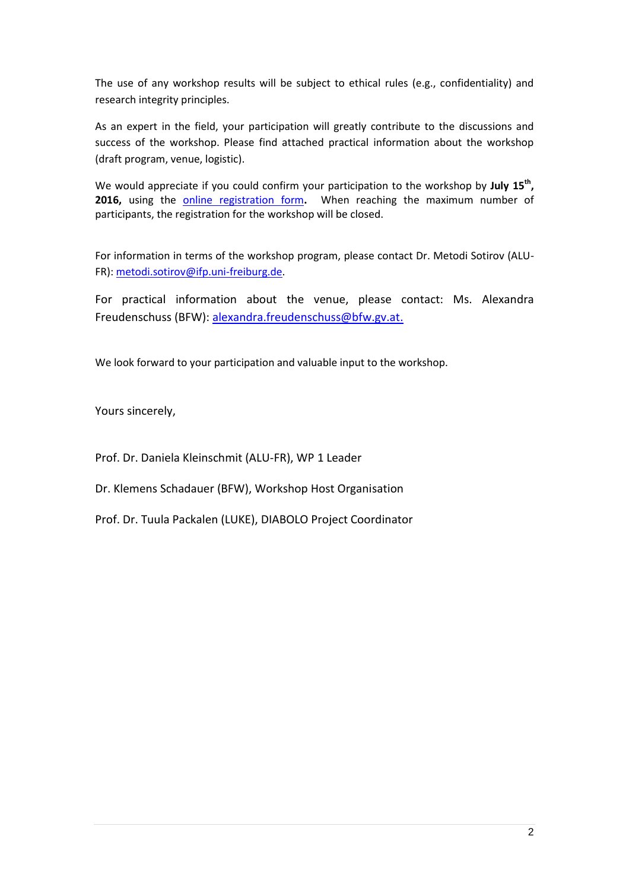The use of any workshop results will be subject to ethical rules (e.g., confidentiality) and research integrity principles.

As an expert in the field, your participation will greatly contribute to the discussions and success of the workshop. Please find attached practical information about the workshop (draft program, venue, logistic).

We would appreciate if you could confirm your participation to the workshop by **July 15th , 2016,** using the [online registration form](http://bfw.ac.at/rz/bfwcms.web?dok=10127)**.** When reaching the maximum number of participants, the registration for the workshop will be closed.

For information in terms of the workshop program, please contact Dr. Metodi Sotirov (ALU-FR): [metodi.sotirov@ifp.uni-freiburg.de.](mailto:metodi.sotirov@ifp.uni-freiburg.de)

For practical information about the venue, please contact: Ms. Alexandra Freudenschuss (BFW): [alexandra.freudenschuss@bfw.gv.at.](mailto:alexandra.freudenschuss@bfw.gv.at)

We look forward to your participation and valuable input to the workshop.

Yours sincerely,

Prof. Dr. Daniela Kleinschmit (ALU-FR), WP 1 Leader

Dr. Klemens Schadauer (BFW), Workshop Host Organisation

Prof. Dr. Tuula Packalen (LUKE), DIABOLO Project Coordinator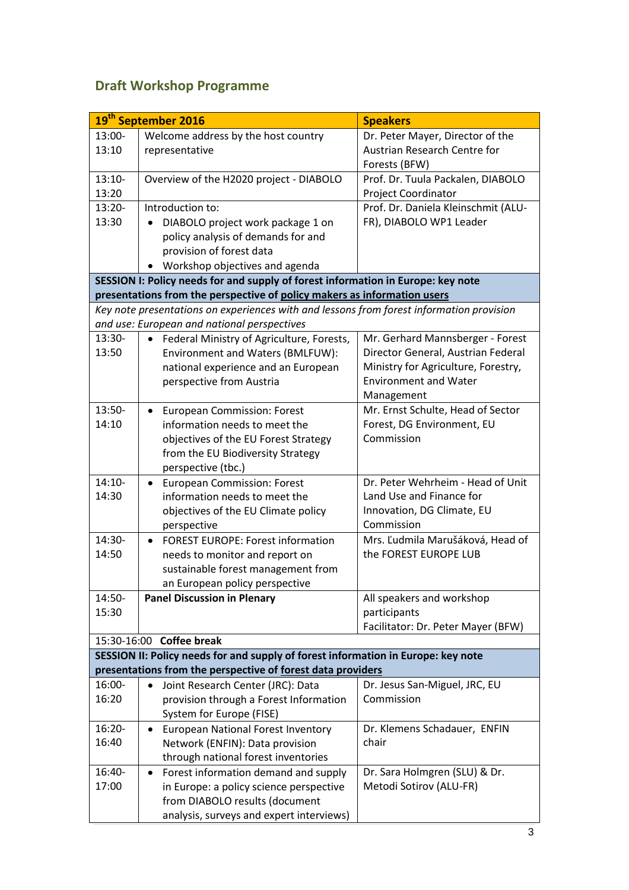## **Draft Workshop Programme**

|                                                                                                                                         | 19 <sup>th</sup> September 2016                                                  | <b>Speakers</b>                     |  |
|-----------------------------------------------------------------------------------------------------------------------------------------|----------------------------------------------------------------------------------|-------------------------------------|--|
| $13:00-$                                                                                                                                | Welcome address by the host country                                              | Dr. Peter Mayer, Director of the    |  |
| 13:10                                                                                                                                   | representative                                                                   | Austrian Research Centre for        |  |
|                                                                                                                                         |                                                                                  | Forests (BFW)                       |  |
| $13:10-$                                                                                                                                | Overview of the H2020 project - DIABOLO                                          | Prof. Dr. Tuula Packalen, DIABOLO   |  |
| 13:20                                                                                                                                   |                                                                                  | Project Coordinator                 |  |
| 13:20-                                                                                                                                  | Introduction to:                                                                 | Prof. Dr. Daniela Kleinschmit (ALU- |  |
| 13:30                                                                                                                                   | DIABOLO project work package 1 on<br>$\bullet$                                   | FR), DIABOLO WP1 Leader             |  |
|                                                                                                                                         | policy analysis of demands for and                                               |                                     |  |
|                                                                                                                                         | provision of forest data                                                         |                                     |  |
|                                                                                                                                         | Workshop objectives and agenda<br>$\bullet$                                      |                                     |  |
|                                                                                                                                         | SESSION I: Policy needs for and supply of forest information in Europe: key note |                                     |  |
| presentations from the perspective of policy makers as information users                                                                |                                                                                  |                                     |  |
| Key note presentations on experiences with and lessons from forest information provision<br>and use: European and national perspectives |                                                                                  |                                     |  |
| $13:30-$                                                                                                                                | Federal Ministry of Agriculture, Forests,<br>$\bullet$                           | Mr. Gerhard Mannsberger - Forest    |  |
| 13:50                                                                                                                                   | Environment and Waters (BMLFUW):                                                 | Director General, Austrian Federal  |  |
|                                                                                                                                         | national experience and an European                                              | Ministry for Agriculture, Forestry, |  |
|                                                                                                                                         | perspective from Austria                                                         | <b>Environment and Water</b>        |  |
|                                                                                                                                         |                                                                                  | Management                          |  |
| $13:50-$                                                                                                                                | <b>European Commission: Forest</b><br>$\bullet$                                  | Mr. Ernst Schulte, Head of Sector   |  |
| 14:10                                                                                                                                   | information needs to meet the                                                    | Forest, DG Environment, EU          |  |
|                                                                                                                                         | objectives of the EU Forest Strategy                                             | Commission                          |  |
|                                                                                                                                         | from the EU Biodiversity Strategy                                                |                                     |  |
|                                                                                                                                         | perspective (tbc.)                                                               |                                     |  |
| $14:10-$                                                                                                                                | <b>European Commission: Forest</b><br>$\bullet$                                  | Dr. Peter Wehrheim - Head of Unit   |  |
| 14:30                                                                                                                                   | information needs to meet the                                                    | Land Use and Finance for            |  |
|                                                                                                                                         | objectives of the EU Climate policy                                              | Innovation, DG Climate, EU          |  |
|                                                                                                                                         | perspective                                                                      | Commission                          |  |
| 14:30-                                                                                                                                  | <b>FOREST EUROPE: Forest information</b><br>$\bullet$                            | Mrs. Ľudmila Marušáková, Head of    |  |
| 14:50                                                                                                                                   | needs to monitor and report on                                                   | the FOREST EUROPE LUB               |  |
|                                                                                                                                         | sustainable forest management from                                               |                                     |  |
|                                                                                                                                         | an European policy perspective                                                   |                                     |  |
| 14:50-                                                                                                                                  | <b>Panel Discussion in Plenary</b>                                               | All speakers and workshop           |  |
| 15:30                                                                                                                                   |                                                                                  | participants                        |  |
|                                                                                                                                         |                                                                                  | Facilitator: Dr. Peter Mayer (BFW)  |  |
|                                                                                                                                         | 15:30-16:00 Coffee break                                                         |                                     |  |
| SESSION II: Policy needs for and supply of forest information in Europe: key note                                                       |                                                                                  |                                     |  |
|                                                                                                                                         | presentations from the perspective of forest data providers                      |                                     |  |
| 16:00-                                                                                                                                  | Joint Research Center (JRC): Data<br>$\bullet$                                   | Dr. Jesus San-Miguel, JRC, EU       |  |
| 16:20                                                                                                                                   | provision through a Forest Information                                           | Commission                          |  |
|                                                                                                                                         | System for Europe (FISE)                                                         |                                     |  |
| 16:20-                                                                                                                                  | <b>European National Forest Inventory</b><br>$\bullet$                           | Dr. Klemens Schadauer, ENFIN        |  |
| 16:40                                                                                                                                   | Network (ENFIN): Data provision                                                  | chair                               |  |
|                                                                                                                                         | through national forest inventories                                              |                                     |  |
| 16:40-                                                                                                                                  | Forest information demand and supply<br>$\bullet$                                | Dr. Sara Holmgren (SLU) & Dr.       |  |
| 17:00                                                                                                                                   | in Europe: a policy science perspective                                          | Metodi Sotirov (ALU-FR)             |  |
|                                                                                                                                         | from DIABOLO results (document                                                   |                                     |  |
|                                                                                                                                         | analysis, surveys and expert interviews)                                         |                                     |  |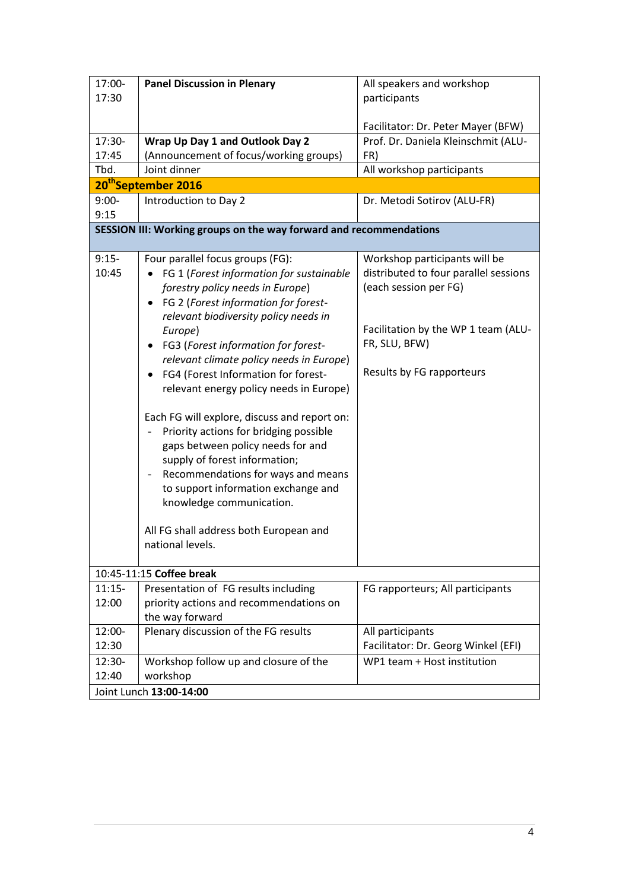| 17:00-                                                             | <b>Panel Discussion in Plenary</b>                                                                                                                                                                                                                                                                                                                                                                                                                                                                                                                                                                                                                                                                                                                              | All speakers and workshop                                                                                                                                                            |  |  |
|--------------------------------------------------------------------|-----------------------------------------------------------------------------------------------------------------------------------------------------------------------------------------------------------------------------------------------------------------------------------------------------------------------------------------------------------------------------------------------------------------------------------------------------------------------------------------------------------------------------------------------------------------------------------------------------------------------------------------------------------------------------------------------------------------------------------------------------------------|--------------------------------------------------------------------------------------------------------------------------------------------------------------------------------------|--|--|
| 17:30                                                              |                                                                                                                                                                                                                                                                                                                                                                                                                                                                                                                                                                                                                                                                                                                                                                 | participants                                                                                                                                                                         |  |  |
|                                                                    |                                                                                                                                                                                                                                                                                                                                                                                                                                                                                                                                                                                                                                                                                                                                                                 |                                                                                                                                                                                      |  |  |
|                                                                    |                                                                                                                                                                                                                                                                                                                                                                                                                                                                                                                                                                                                                                                                                                                                                                 | Facilitator: Dr. Peter Mayer (BFW)                                                                                                                                                   |  |  |
| 17:30-                                                             | Wrap Up Day 1 and Outlook Day 2                                                                                                                                                                                                                                                                                                                                                                                                                                                                                                                                                                                                                                                                                                                                 | Prof. Dr. Daniela Kleinschmit (ALU-                                                                                                                                                  |  |  |
| 17:45                                                              | (Announcement of focus/working groups)                                                                                                                                                                                                                                                                                                                                                                                                                                                                                                                                                                                                                                                                                                                          | FR)                                                                                                                                                                                  |  |  |
| Tbd.                                                               | Joint dinner                                                                                                                                                                                                                                                                                                                                                                                                                                                                                                                                                                                                                                                                                                                                                    | All workshop participants                                                                                                                                                            |  |  |
| 20 <sup>th</sup> September 2016                                    |                                                                                                                                                                                                                                                                                                                                                                                                                                                                                                                                                                                                                                                                                                                                                                 |                                                                                                                                                                                      |  |  |
| $9:00-$                                                            | Introduction to Day 2                                                                                                                                                                                                                                                                                                                                                                                                                                                                                                                                                                                                                                                                                                                                           | Dr. Metodi Sotirov (ALU-FR)                                                                                                                                                          |  |  |
| 9:15                                                               |                                                                                                                                                                                                                                                                                                                                                                                                                                                                                                                                                                                                                                                                                                                                                                 |                                                                                                                                                                                      |  |  |
| SESSION III: Working groups on the way forward and recommendations |                                                                                                                                                                                                                                                                                                                                                                                                                                                                                                                                                                                                                                                                                                                                                                 |                                                                                                                                                                                      |  |  |
| $9:15-$<br>10:45                                                   | Four parallel focus groups (FG):<br>FG 1 (Forest information for sustainable<br>forestry policy needs in Europe)<br>FG 2 (Forest information for forest-<br>٠<br>relevant biodiversity policy needs in<br>Europe)<br>FG3 (Forest information for forest-<br>relevant climate policy needs in Europe)<br>FG4 (Forest Information for forest-<br>$\bullet$<br>relevant energy policy needs in Europe)<br>Each FG will explore, discuss and report on:<br>Priority actions for bridging possible<br>gaps between policy needs for and<br>supply of forest information;<br>Recommendations for ways and means<br>$\qquad \qquad -$<br>to support information exchange and<br>knowledge communication.<br>All FG shall address both European and<br>national levels. | Workshop participants will be<br>distributed to four parallel sessions<br>(each session per FG)<br>Facilitation by the WP 1 team (ALU-<br>FR, SLU, BFW)<br>Results by FG rapporteurs |  |  |
| 10:45-11:15 Coffee break                                           |                                                                                                                                                                                                                                                                                                                                                                                                                                                                                                                                                                                                                                                                                                                                                                 |                                                                                                                                                                                      |  |  |
| $11:15-$                                                           | Presentation of FG results including                                                                                                                                                                                                                                                                                                                                                                                                                                                                                                                                                                                                                                                                                                                            | FG rapporteurs; All participants                                                                                                                                                     |  |  |
| 12:00                                                              | priority actions and recommendations on<br>the way forward                                                                                                                                                                                                                                                                                                                                                                                                                                                                                                                                                                                                                                                                                                      |                                                                                                                                                                                      |  |  |
| 12:00-                                                             | Plenary discussion of the FG results                                                                                                                                                                                                                                                                                                                                                                                                                                                                                                                                                                                                                                                                                                                            | All participants                                                                                                                                                                     |  |  |
| 12:30                                                              |                                                                                                                                                                                                                                                                                                                                                                                                                                                                                                                                                                                                                                                                                                                                                                 | Facilitator: Dr. Georg Winkel (EFI)                                                                                                                                                  |  |  |
| 12:30-                                                             | Workshop follow up and closure of the                                                                                                                                                                                                                                                                                                                                                                                                                                                                                                                                                                                                                                                                                                                           | WP1 team + Host institution                                                                                                                                                          |  |  |
| 12:40                                                              | workshop                                                                                                                                                                                                                                                                                                                                                                                                                                                                                                                                                                                                                                                                                                                                                        |                                                                                                                                                                                      |  |  |
|                                                                    | Joint Lunch 13:00-14:00                                                                                                                                                                                                                                                                                                                                                                                                                                                                                                                                                                                                                                                                                                                                         |                                                                                                                                                                                      |  |  |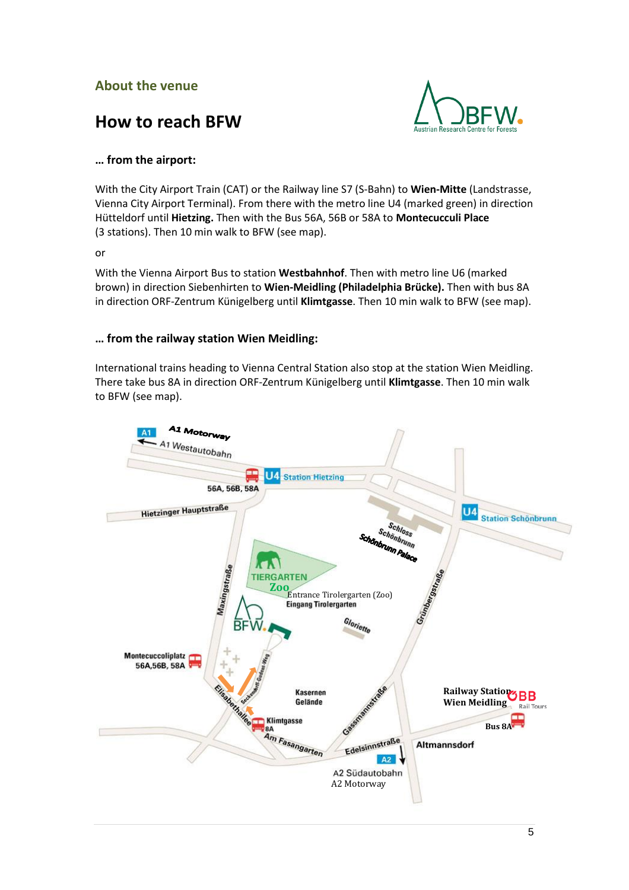### **About the venue**





#### **… from the airport:**

With the City Airport Train (CAT) or the Railway line S7 (S-Bahn) to **Wien-Mitte** (Landstrasse, Vienna City Airport Terminal). From there with the metro line U4 (marked green) in direction Hütteldorf until **Hietzing.** Then with the Bus 56A, 56B or 58A to **Montecucculi Place** (3 stations). Then 10 min walk to BFW (see map).

or

With the Vienna Airport Bus to station **Westbahnhof**. Then with metro line U6 (marked brown) in direction Siebenhirten to **Wien-Meidling (Philadelphia Brücke).** Then with bus 8A in direction ORF-Zentrum Künigelberg until **Klimtgasse**. Then 10 min walk to BFW (see map).

#### **… from the railway station Wien Meidling:**

International trains heading to Vienna Central Station also stop at the station Wien Meidling. There take bus 8A in direction ORF-Zentrum Künigelberg until **Klimtgasse**. Then 10 min walk to BFW (see map).